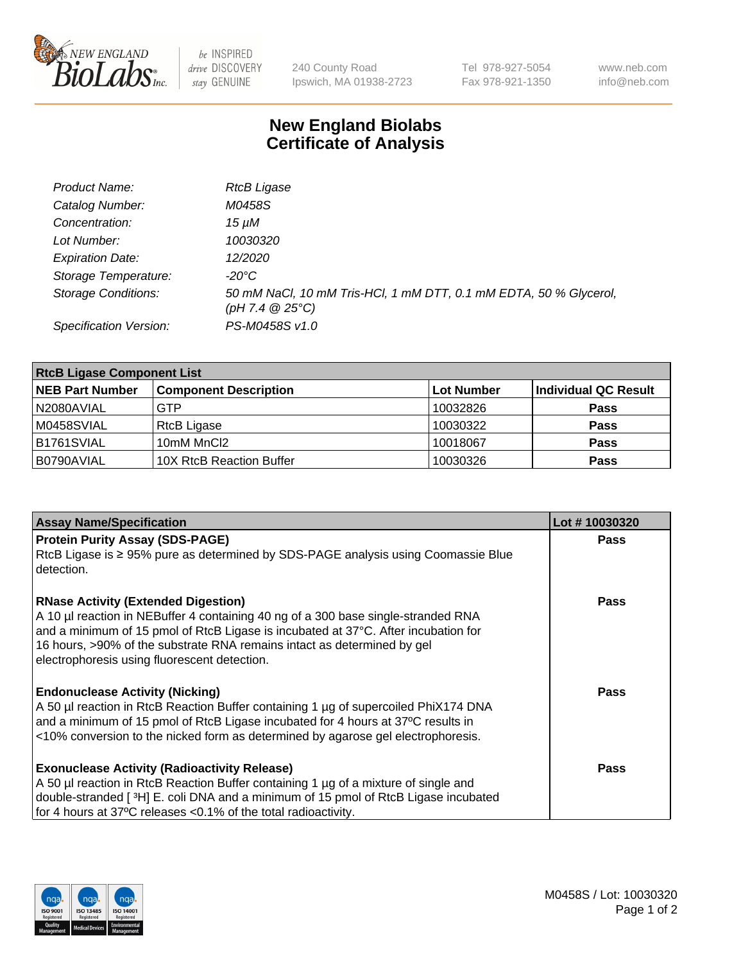

 $be$  INSPIRED drive DISCOVERY stay GENUINE

240 County Road Ipswich, MA 01938-2723 Tel 978-927-5054 Fax 978-921-1350 www.neb.com info@neb.com

## **New England Biolabs Certificate of Analysis**

| Product Name:              | <b>RtcB Ligase</b>                                                                     |
|----------------------------|----------------------------------------------------------------------------------------|
| Catalog Number:            | M0458S                                                                                 |
| Concentration:             | 15 µM                                                                                  |
| Lot Number:                | 10030320                                                                               |
| <b>Expiration Date:</b>    | 12/2020                                                                                |
| Storage Temperature:       | -20°C                                                                                  |
| <b>Storage Conditions:</b> | 50 mM NaCl, 10 mM Tris-HCl, 1 mM DTT, 0.1 mM EDTA, 50 % Glycerol,<br>(pH 7.4 $@25°C$ ) |
| Specification Version:     | PS-M0458S v1.0                                                                         |

| <b>RtcB Ligase Component List</b> |                              |                   |                             |  |
|-----------------------------------|------------------------------|-------------------|-----------------------------|--|
| <b>NEB Part Number</b>            | <b>Component Description</b> | <b>Lot Number</b> | <b>Individual QC Result</b> |  |
| N2080AVIAL                        | <b>GTP</b>                   | 10032826          | <b>Pass</b>                 |  |
| M0458SVIAL                        | RtcB Ligase                  | 10030322          | <b>Pass</b>                 |  |
| B1761SVIAL                        | 10mM MnCl2                   | 10018067          | <b>Pass</b>                 |  |
| B0790AVIAL                        | 10X RtcB Reaction Buffer     | 10030326          | <b>Pass</b>                 |  |

| <b>Assay Name/Specification</b>                                                                                                                                                                                                                                                                                                                  | Lot #10030320 |
|--------------------------------------------------------------------------------------------------------------------------------------------------------------------------------------------------------------------------------------------------------------------------------------------------------------------------------------------------|---------------|
| <b>Protein Purity Assay (SDS-PAGE)</b><br>RtcB Ligase is ≥ 95% pure as determined by SDS-PAGE analysis using Coomassie Blue<br>detection.                                                                                                                                                                                                        | Pass          |
| <b>RNase Activity (Extended Digestion)</b><br>A 10 µl reaction in NEBuffer 4 containing 40 ng of a 300 base single-stranded RNA<br>and a minimum of 15 pmol of RtcB Ligase is incubated at 37°C. After incubation for<br>16 hours, >90% of the substrate RNA remains intact as determined by gel<br>electrophoresis using fluorescent detection. | Pass          |
| <b>Endonuclease Activity (Nicking)</b><br>A 50 µl reaction in RtcB Reaction Buffer containing 1 µg of supercoiled PhiX174 DNA<br>and a minimum of 15 pmol of RtcB Ligase incubated for 4 hours at 37°C results in<br><10% conversion to the nicked form as determined by agarose gel electrophoresis.                                            | Pass          |
| <b>Exonuclease Activity (Radioactivity Release)</b><br>A 50 µl reaction in RtcB Reaction Buffer containing 1 µg of a mixture of single and<br>double-stranded [3H] E. coli DNA and a minimum of 15 pmol of RtcB Ligase incubated<br>for 4 hours at 37°C releases <0.1% of the total radioactivity.                                               | Pass          |